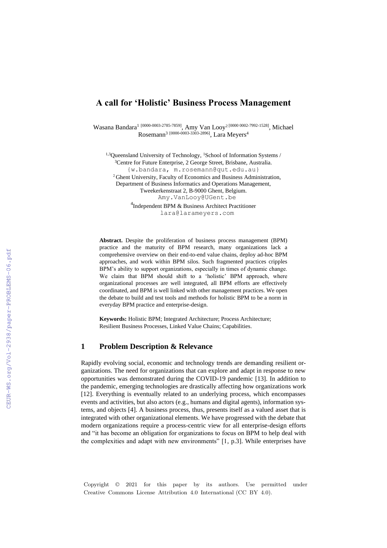# **A call for 'Holistic' Business Process Management**

Wasana Bandara<sup>1 [0000-0003-2785-7859]</sup>, Amy Van Looy<sup>2 [0000 0002-7992-1528]</sup>, Michael Rosemann<sup>3 [0000-0003-3303-2896]</sup>, Lara Meyers<sup>4</sup>

<sup>1,3</sup>Queensland University of Technology, <sup>1</sup>School of Information Systems / <sup>3</sup>Centre for Future Enterprise, 2 George Street, Brisbane, Australia. {w.bandara, m.roseman[n@qut.edu.au}](mailto:j.merideth%7d@qut.edu.au) <sup>2</sup> Ghent University, Faculty of Economics and Business Administration, Department of Business Informatics and Operations Management, Tweekerkenstraat 2, B-9000 Ghent, Belgium. [Amy.VanLooy@UGent.be](mailto:Amy.VanLooy@UGent.be) 4 Independent BPM & Business Architect Practitioner

lara@larameyers.com

**Abstract.** Despite the proliferation of business process management (BPM) practice and the maturity of BPM research, many organizations lack a comprehensive overview on their end-to-end value chains, deploy ad-hoc BPM approaches, and work within BPM silos. Such fragmented practices cripples BPM's ability to support organizations, especially in times of dynamic change. We claim that BPM should shift to a 'holistic' BPM approach, where organizational processes are well integrated, all BPM efforts are effectively coordinated, and BPM is well linked with other management practices. We open the debate to build and test tools and methods for holistic BPM to be a norm in everyday BPM practice and enterprise-design.

**Keywords:** Holistic BPM; Integrated Architecture; Process Architecture; Resilient Business Processes, Linked Value Chains; Capabilities.

### **1 Problem Description & Relevance**

Rapidly evolving social, economic and technology trends are demanding resilient organizations. The need for organizations that can explore and adapt in response to new opportunities was demonstrated during the COVID-19 pandemic [13]. In addition to the pandemic, emerging technologies are drastically affecting how organizations work [12]. Everything is eventually related to an underlying process, which encompasses events and activities, but also actors (e.g., humans and digital agents), information systems, and objects [4]. A business process, thus, presents itself as a valued asset that is integrated with other organizational elements. We have progressed with the debate that modern organizations require a process-centric view for all enterprise-design efforts and "it has become an obligation for organizations to focus on BPM to help deal with the complexities and adapt with new environments" [1, p.3]. While enterprises have

Copyright © 2021 for this paper by its authors. Use permitted under Creative Commons License Attribution 4.0 International (CC BY 4.0).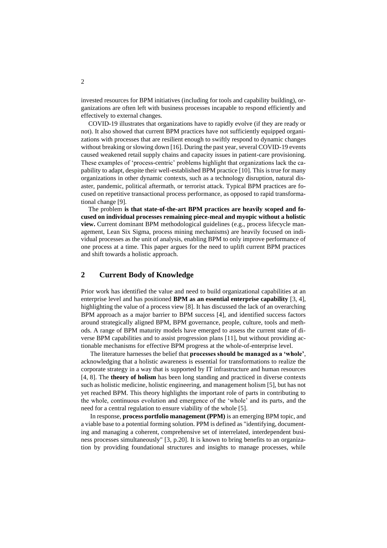invested resources for BPM initiatives (including for tools and capability building), organizations are often left with business processes incapable to respond efficiently and effectively to external changes.

COVID-19 illustrates that organizations have to rapidly evolve (if they are ready or not). It also showed that current BPM practices have not sufficiently equipped organizations with processes that are resilient enough to swiftly respond to dynamic changes without breaking or slowing down [16]. During the past year, several COVID-19 events caused weakened retail supply chains and capacity issues in patient-care provisioning. These examples of 'process-centric' problems highlight that organizations lack the capability to adapt, despite their well-established BPM practice [10]. This is true for many organizations in other dynamic contexts, such as a technology disruption, natural disaster, pandemic, political aftermath, or terrorist attack. Typical BPM practices are focused on repetitive transactional process performance, as opposed to rapid transformational change [9].

The problem **is that state-of-the-art BPM practices are heavily scoped and focused on individual processes remaining piece-meal and myopic without a holistic view.** Current dominant BPM methodological guidelines (e.g., process lifecycle management, Lean Six Sigma, process mining mechanisms) are heavily focused on individual processes as the unit of analysis, enabling BPM to only improve performance of one process at a time. This paper argues for the need to uplift current BPM practices and shift towards a holistic approach.

### **2 Current Body of Knowledge**

Prior work has identified the value and need to build organizational capabilities at an enterprise level and has positioned **BPM as an essential enterprise capability** [3, 4], highlighting the value of a process view [8]. It has discussed the lack of an overarching BPM approach as a major barrier to BPM success [4], and identified success factors around strategically aligned BPM, BPM governance, people, culture, tools and methods. A range of BPM maturity models have emerged to assess the current state of diverse BPM capabilities and to assist progression plans [11], but without providing actionable mechanisms for effective BPM progress at the whole-of-enterprise level.

The literature harnesses the belief that **processes should be managed as a 'whole'**, acknowledging that a holistic awareness is essential for transformations to realize the corporate strategy in a way that is supported by IT infrastructure and human resources [4, 8]. The **theory of holism** has been long standing and practiced in diverse contexts such as holistic medicine, holistic engineering, and management holism [5], but has not yet reached BPM. This theory highlights the important role of parts in contributing to the whole, continuous evolution and emergence of the 'whole' and its parts, and the need for a central regulation to ensure viability of the whole [5].

In response, **process portfolio management (PPM)** is an emerging BPM topic, and a viable base to a potential forming solution. PPM is defined as "identifying, documenting and managing a coherent, comprehensive set of interrelated, interdependent business processes simultaneously" [3, p.20]. It is known to bring benefits to an organization by providing foundational structures and insights to manage processes, while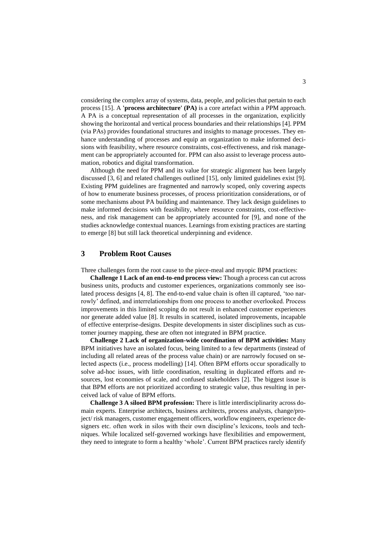considering the complex array of systems, data, people, and policies that pertain to each process [15]. A **'process architecture' (PA)** is a core artefact within a PPM approach. A PA is a conceptual representation of all processes in the organization, explicitly showing the horizontal and vertical process boundaries and their relationships [4]. PPM (via PAs) provides foundational structures and insights to manage processes. They enhance understanding of processes and equip an organization to make informed decisions with feasibility, where resource constraints, cost-effectiveness, and risk management can be appropriately accounted for. PPM can also assist to leverage process automation, robotics and digital transformation.

Although the need for PPM and its value for strategic alignment has been largely discussed [3, 6] and related challenges outlined [15], only limited guidelines exist [9]. Existing PPM guidelines are fragmented and narrowly scoped, only covering aspects of how to enumerate business processes, of process prioritization considerations, or of some mechanisms about PA building and maintenance. They lack design guidelines to make informed decisions with feasibility, where resource constraints, cost-effectiveness, and risk management can be appropriately accounted for [9], and none of the studies acknowledge contextual nuances. Learnings from existing practices are starting to emerge [8] but still lack theoretical underpinning and evidence.

#### **3 Problem Root Causes**

Three challenges form the root cause to the piece-meal and myopic BPM practices:

**Challenge 1 Lack of an end-to-end process view:** Though a process can cut across business units, products and customer experiences, organizations commonly see isolated process designs [4, 8]. The end-to-end value chain is often ill captured, 'too narrowly' defined, and interrelationships from one process to another overlooked. Process improvements in this limited scoping do not result in enhanced customer experiences nor generate added value [8]. It results in scattered, isolated improvements, incapable of effective enterprise-designs. Despite developments in sister disciplines such as customer journey mapping, these are often not integrated in BPM practice.

**Challenge 2 Lack of organization-wide coordination of BPM activities:** Many BPM initiatives have an isolated focus, being limited to a few departments (instead of including all related areas of the process value chain) or are narrowly focused on selected aspects (i.e., process modelling) [14]. Often BPM efforts occur sporadically to solve ad-hoc issues, with little coordination, resulting in duplicated efforts and resources, lost economies of scale, and confused stakeholders [2]. The biggest issue is that BPM efforts are not prioritized according to strategic value, thus resulting in perceived lack of value of BPM efforts.

**Challenge 3 A siloed BPM profession:** There is little interdisciplinarity across domain experts. Enterprise architects, business architects, process analysts, change/project/ risk managers, customer engagement officers, workflow engineers, experience designers etc. often work in silos with their own discipline's lexicons, tools and techniques. While localized self-governed workings have flexibilities and empowerment, they need to integrate to form a healthy 'whole'. Current BPM practices rarely identify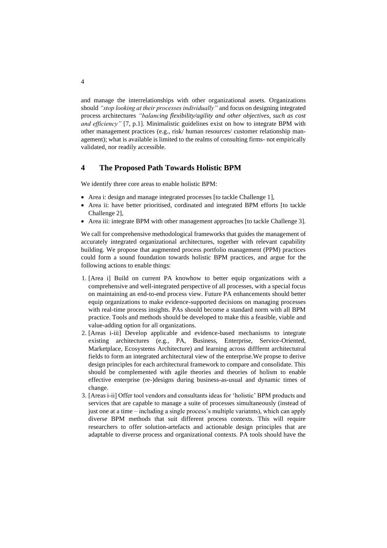and manage the interrelationships with other organizational assets. Organizations should *"stop looking at their processes individually"* and focus on designing integrated process architectures *"balancing flexibility/agility and other objectives, such as cost and efficiency"* [7, p.1]. Minimalistic guidelines exist on how to integrate BPM with other management practices (e.g., risk/ human resources/ customer relationship management); what is available is limited to the realms of consulting firms- not empirically validated, nor readily accessible.

# **4 The Proposed Path Towards Holistic BPM**

We identify three core areas to enable holistic BPM:

- Area i: design and manage integrated processes [to tackle Challenge 1],
- Area ii: have better prioritised, cordinated and integrated BPM efforts [to tackle Challenge 2],
- Area iii: integrate BPM with other management approaches [to tackle Challenge 3].

We call for comprehensive methodological frameworks that guides the management of accurately integrated organizational architectures, together with relevant capability building. We propose that augmented process portfolio management (PPM) practices could form a sound foundation towards holistic BPM practices, and argue for the following actions to enable things:

- 1. [Area i] Build on current PA knowhow to better equip organizations with a comprehensive and well-integrated perspective of all processes, with a special focus on maintaining an end-to-end process view. Future PA enhancements should better equip organizations to make evidence-supported decisions on managing processes with real-time process insights. PAs should become a standard norm with all BPM practice. Tools and methods should be developed to make this a feasible, viable and value-adding option for all organizations.
- 2. [Areas i-iii] Develop applicable and evidence-based mechanisms to integrate existing architectures (e.g., PA, Business, Enterprise, Service-Oriented, Marketplace, Ecosystems Architecture) and learning across difffernt architectutral fields to form an integrated architectural view of the enterprise.We propse to derive design principles for each architectural framework to compare and consolidate. This should be complemented with agile theories and theories of holism to enable effective enterprise (re-)designs during business-as-usual and dynamic times of change.
- 3. [Areas i-ii] Offer tool vendors and consultants ideas for 'holistic' BPM products and services that are capable to manage a suite of processes simultaneously (instead of just one at a time – including a single process's multiple variatnts), which can apply diverse BPM methods that suit different process contexts. This will require researchers to offer solution-artefacts and actionable design principles that are adaptable to diverse process and organizational contexts. PA tools should have the